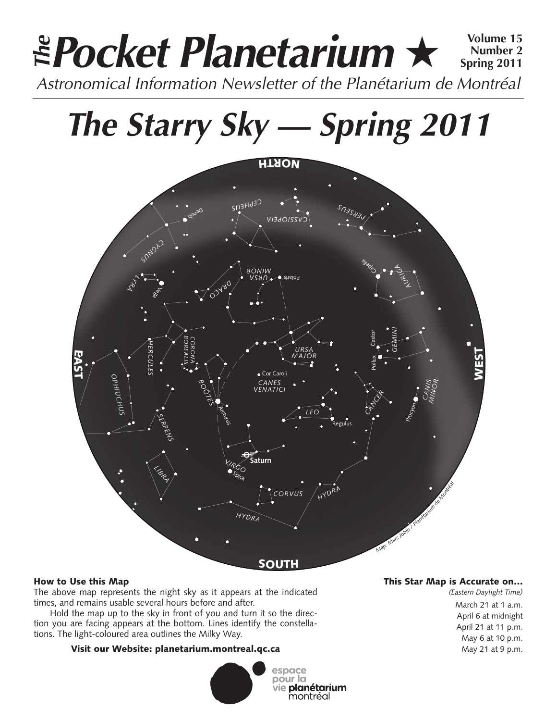### **Pocket Planetarium** ★ **Volume 15** Astronomical Information Newsletter of the Planétarium de Montréal **The Number 2 Spring 2011**

# **The Starry Sky — Spring 2011**



#### How to Use this Map

The above map represents the night sky as it appears at the indicated times, and remains usable several hours before and after.

Hold the map up to the sky in front of you and turn it so the direction you are facing appears at the bottom. Lines identify the constellations. The light-coloured area outlines the Milky Way.

#### Visit our Website: planetarium.montreal.qc.ca



#### This Star Map is Accurate on…

*(Eastern Daylight Time)* March 21 at 1 a.m. April 6 at midnight April 21 at 11 p.m. May 6 at 10 p.m. May 21 at 9 p.m.